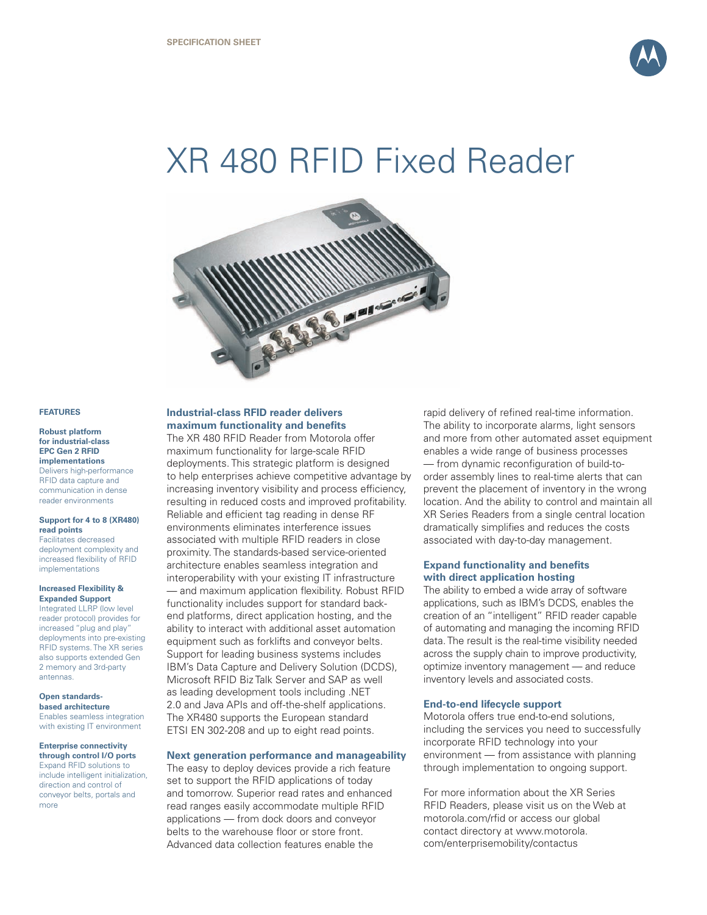

# XR 480 RFID Fixed Reader



## **FEATURES**

### **Robust platform for industrial-class EPC Gen 2 RFID implementations**

Delivers high-performance RFID data capture and communication in dense reader environments

#### **Support for 4 to 8 (XR480) read points**

Facilitates decreased deployment complexity and increased flexibility of RFID implementations

#### **Increased Flexibility & Expanded Support**

Integrated LLRP (low level reader protocol) provides for increased "plug and play deployments into pre-existing RFID systems. The XR series also supports extended Gen 2 memory and 3rd-party antennas.

# **Open standardsbased architecture**

Enables seamless integration with existing IT environment

#### **Enterprise connectivity through control I/O ports**

Expand RFID solutions to include intelligent initialization, direction and control of conveyor belts, portals and more

# **Industrial-class RFID reader delivers maximum functionality and benefits**

The XR 480 RFID Reader from Motorola offer maximum functionality for large-scale RFID deployments. This strategic platform is designed to help enterprises achieve competitive advantage by increasing inventory visibility and process efficiency, resulting in reduced costs and improved profitability. Reliable and efficient tag reading in dense RF environments eliminates interference issues associated with multiple RFID readers in close proximity. The standards-based service-oriented architecture enables seamless integration and interoperability with your existing IT infrastructure

— and maximum application flexibility. Robust RFID functionality includes support for standard backend platforms, direct application hosting, and the ability to interact with additional asset automation equipment such as forklifts and conveyor belts. Support for leading business systems includes IBM's Data Capture and Delivery Solution (DCDS), Microsoft RFID Biz Talk Server and SAP as well as leading development tools including .NET 2.0 and Java APIs and off-the-shelf applications. The XR480 supports the European standard ETSI EN 302-208 and up to eight read points.

# **Next generation performance and manageability**

The easy to deploy devices provide a rich feature set to support the RFID applications of today and tomorrow. Superior read rates and enhanced read ranges easily accommodate multiple RFID applications — from dock doors and conveyor belts to the warehouse floor or store front. Advanced data collection features enable the

rapid delivery of refined real-time information. The ability to incorporate alarms, light sensors and more from other automated asset equipment enables a wide range of business processes — from dynamic reconfiguration of build-toorder assembly lines to real-time alerts that can prevent the placement of inventory in the wrong location. And the ability to control and maintain all XR Series Readers from a single central location dramatically simplifies and reduces the costs associated with day-to-day management.

# **Expand functionality and benefits with direct application hosting**

The ability to embed a wide array of software applications, such as IBM's DCDS, enables the creation of an "intelligent" RFID reader capable of automating and managing the incoming RFID data. The result is the real-time visibility needed across the supply chain to improve productivity, optimize inventory management — and reduce inventory levels and associated costs.

# **End-to-end lifecycle support**

Motorola offers true end-to-end solutions, including the services you need to successfully incorporate RFID technology into your environment — from assistance with planning through implementation to ongoing support.

For more information about the XR Series RFID Readers, please visit us on the Web at motorola.com/rfid or access our global contact directory at www.motorola. com/enterprisemobility/contactus